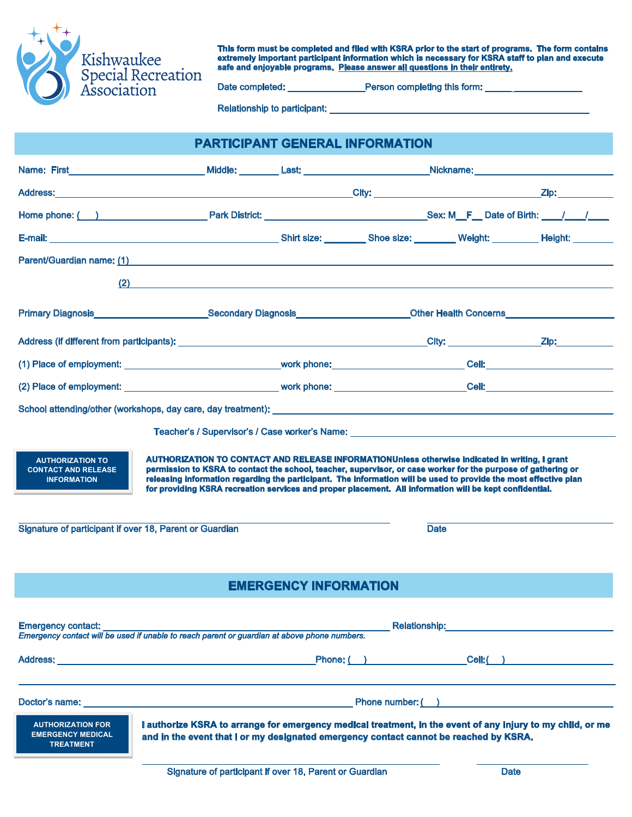

**This form must be completed and filed with KSRA prior to the start of programs. The form contains extremely important participant information which is necessary for KSRA staff to plan and execute safe and enjoyable programs. Please answer all questions in their entirety.**

Date completed: \_\_\_\_\_\_\_\_\_\_\_\_\_\_\_\_\_\_\_\_\_\_\_\_Person completing this form:

Relationship to participant:

| <b>PARTICIPANT GENERAL INFORMATION</b>                                                                                                 |                                                                                                                                                                                                                                                                                                                                                                                                                                                |                                                                                                                      |                                                                                                                                   |                      |                                                                                                                                                                                                                                |  |  |  |
|----------------------------------------------------------------------------------------------------------------------------------------|------------------------------------------------------------------------------------------------------------------------------------------------------------------------------------------------------------------------------------------------------------------------------------------------------------------------------------------------------------------------------------------------------------------------------------------------|----------------------------------------------------------------------------------------------------------------------|-----------------------------------------------------------------------------------------------------------------------------------|----------------------|--------------------------------------------------------------------------------------------------------------------------------------------------------------------------------------------------------------------------------|--|--|--|
|                                                                                                                                        |                                                                                                                                                                                                                                                                                                                                                                                                                                                | Name: First_____________________________Middle: _________Last: ____________________Nickname: _______________________ |                                                                                                                                   |                      |                                                                                                                                                                                                                                |  |  |  |
|                                                                                                                                        |                                                                                                                                                                                                                                                                                                                                                                                                                                                |                                                                                                                      |                                                                                                                                   |                      |                                                                                                                                                                                                                                |  |  |  |
|                                                                                                                                        |                                                                                                                                                                                                                                                                                                                                                                                                                                                |                                                                                                                      |                                                                                                                                   |                      |                                                                                                                                                                                                                                |  |  |  |
|                                                                                                                                        |                                                                                                                                                                                                                                                                                                                                                                                                                                                |                                                                                                                      |                                                                                                                                   |                      |                                                                                                                                                                                                                                |  |  |  |
|                                                                                                                                        | Parent/Guardian name: (1) <b>Contract Contract Contract Contract Contract Contract Contract Contract Contract Contract Contract Contract Contract Contract Contract Contract Contract Contract Contract Contract Contract Contra</b>                                                                                                                                                                                                           |                                                                                                                      |                                                                                                                                   |                      |                                                                                                                                                                                                                                |  |  |  |
|                                                                                                                                        | $\overline{2}$ $\overline{2}$ $\overline{2}$ $\overline{2}$ $\overline{2}$ $\overline{2}$ $\overline{2}$ $\overline{2}$ $\overline{2}$ $\overline{2}$ $\overline{2}$ $\overline{2}$ $\overline{2}$ $\overline{2}$ $\overline{2}$ $\overline{2}$ $\overline{2}$ $\overline{2}$ $\overline{2}$ $\overline{2}$ $\overline{2}$ $\overline{2}$ $\overline{2}$ $\overline{2}$ $\overline{$                                                           |                                                                                                                      |                                                                                                                                   |                      |                                                                                                                                                                                                                                |  |  |  |
|                                                                                                                                        |                                                                                                                                                                                                                                                                                                                                                                                                                                                |                                                                                                                      | Primary Diagnosis________________________Secondary Diagnosis______________________Other Health Concerns__________________________ |                      |                                                                                                                                                                                                                                |  |  |  |
|                                                                                                                                        |                                                                                                                                                                                                                                                                                                                                                                                                                                                |                                                                                                                      |                                                                                                                                   |                      |                                                                                                                                                                                                                                |  |  |  |
|                                                                                                                                        |                                                                                                                                                                                                                                                                                                                                                                                                                                                |                                                                                                                      |                                                                                                                                   |                      |                                                                                                                                                                                                                                |  |  |  |
|                                                                                                                                        |                                                                                                                                                                                                                                                                                                                                                                                                                                                |                                                                                                                      |                                                                                                                                   |                      |                                                                                                                                                                                                                                |  |  |  |
|                                                                                                                                        |                                                                                                                                                                                                                                                                                                                                                                                                                                                |                                                                                                                      |                                                                                                                                   |                      |                                                                                                                                                                                                                                |  |  |  |
| <b>AUTHORIZATION TO</b><br><b>CONTACT AND RELEASE</b><br><b>INFORMATION</b><br>Signature of participant if over 18, Parent or Guardian | AUTHORIZATION TO CONTACT AND RELEASE INFORMATIONUnless otherwise indicated in writing, I grant<br>permission to KSRA to contact the school, teacher, supervisor, or case worker for the purpose of gathering or<br>releasing information regarding the participant. The information will be used to provide the most effective plan<br>for providing KSRA recreation services and proper placement. All information will be kept confidential. |                                                                                                                      |                                                                                                                                   | <b>Date</b>          |                                                                                                                                                                                                                                |  |  |  |
|                                                                                                                                        |                                                                                                                                                                                                                                                                                                                                                                                                                                                | <b>EMERGENCY INFORMATION</b>                                                                                         |                                                                                                                                   |                      |                                                                                                                                                                                                                                |  |  |  |
| <b>Emergency contact:</b>                                                                                                              | Emergency contact will be used if unable to reach parent or guardian at above phone numbers.                                                                                                                                                                                                                                                                                                                                                   |                                                                                                                      |                                                                                                                                   |                      | Relationship: Network of the Contract of the Contract of the Contract of the Contract of the Contract of the Contract of the Contract of the Contract of the Contract of the Contract of the Contract of the Contract of the C |  |  |  |
|                                                                                                                                        | Address: <u>Address: Address: Address: Address: Address: Address: Address: Address: Address: Address: Address: Address: Address: Address: Address: Address: Address: Address: Address: Address: Address: Address: Address: Addre</u>                                                                                                                                                                                                           |                                                                                                                      |                                                                                                                                   | Phone: ( ) Cell: ( ) |                                                                                                                                                                                                                                |  |  |  |
|                                                                                                                                        | Doctor's name: the contract of the contract of the contract of the contract of the contract of the contract of the contract of the contract of the contract of the contract of the contract of the contract of the contract of                                                                                                                                                                                                                 |                                                                                                                      |                                                                                                                                   |                      |                                                                                                                                                                                                                                |  |  |  |
| <b>AUTHORIZATION FOR</b><br><b>EMERGENCY MEDICAL</b><br><b>TREATMENT</b>                                                               | I authorize KSRA to arrange for emergency medical treatment, in the event of any injury to my child, or me<br>and in the event that I or my designated emergency contact cannot be reached by KSRA.                                                                                                                                                                                                                                            |                                                                                                                      |                                                                                                                                   |                      |                                                                                                                                                                                                                                |  |  |  |
|                                                                                                                                        | Signature of participant if over 18, Parent or Guardian                                                                                                                                                                                                                                                                                                                                                                                        |                                                                                                                      |                                                                                                                                   | <b>Date</b>          |                                                                                                                                                                                                                                |  |  |  |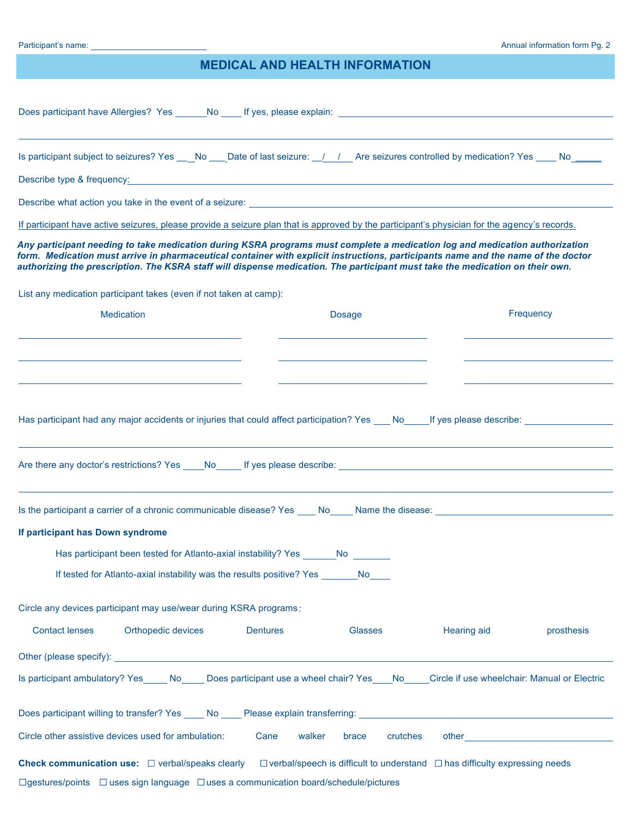## **MEDICAL AND HEALTH INFORMATION**

| Does participant have Allergies? Yes No If yes, please explain:                                                                                                                                                                                                                                                                                                                                   |                   |             |                                                                                                                                                                                                                               |  |  |  |  |  |
|---------------------------------------------------------------------------------------------------------------------------------------------------------------------------------------------------------------------------------------------------------------------------------------------------------------------------------------------------------------------------------------------------|-------------------|-------------|-------------------------------------------------------------------------------------------------------------------------------------------------------------------------------------------------------------------------------|--|--|--|--|--|
| Is participant subject to seizures? Yes ___No ___Date of last seizure: _/ / Are seizures controlled by medication? Yes ___No_______                                                                                                                                                                                                                                                               |                   |             |                                                                                                                                                                                                                               |  |  |  |  |  |
| Describe type & frequency: the contract of the contract of the contract of the contract of the contract of the contract of the contract of the contract of the contract of the contract of the contract of the contract of the                                                                                                                                                                    |                   |             |                                                                                                                                                                                                                               |  |  |  |  |  |
| Describe what action you take in the event of a seizure: <b>example 2018</b> and 2019 and 2019 and 2019 and 2019 and 2019 and 2019 and 2019 and 2019 and 2019 and 2019 and 2019 and 2019 and 2019 and 2019 and 2019 and 2019 and 20                                                                                                                                                               |                   |             |                                                                                                                                                                                                                               |  |  |  |  |  |
| If participant have active seizures, please provide a seizure plan that is approved by the participant's physician for the agency's records.                                                                                                                                                                                                                                                      |                   |             |                                                                                                                                                                                                                               |  |  |  |  |  |
| Any participant needing to take medication during KSRA programs must complete a medication log and medication authorization<br>form. Medication must arrive in pharmaceutical container with explicit instructions, participants name and the name of the doctor<br>authorizing the prescription. The KSRA staff will dispense medication. The participant must take the medication on their own. |                   |             |                                                                                                                                                                                                                               |  |  |  |  |  |
| List any medication participant takes (even if not taken at camp):                                                                                                                                                                                                                                                                                                                                |                   |             |                                                                                                                                                                                                                               |  |  |  |  |  |
| <b>Medication</b>                                                                                                                                                                                                                                                                                                                                                                                 | <b>Dosage</b>     |             | Frequency                                                                                                                                                                                                                     |  |  |  |  |  |
|                                                                                                                                                                                                                                                                                                                                                                                                   |                   |             |                                                                                                                                                                                                                               |  |  |  |  |  |
| If participant has Down syndrome                                                                                                                                                                                                                                                                                                                                                                  |                   |             |                                                                                                                                                                                                                               |  |  |  |  |  |
| Has participant been tested for Atlanto-axial instability? Yes No<br>If tested for Atlanto-axial instability was the results positive? Yes No                                                                                                                                                                                                                                                     |                   |             |                                                                                                                                                                                                                               |  |  |  |  |  |
| Circle any devices participant may use/wear during KSRA programs:                                                                                                                                                                                                                                                                                                                                 |                   |             |                                                                                                                                                                                                                               |  |  |  |  |  |
| <b>Contact lenses</b><br>Orthopedic devices<br><b>Dentures</b>                                                                                                                                                                                                                                                                                                                                    | Glasses           | Hearing aid | prosthesis                                                                                                                                                                                                                    |  |  |  |  |  |
|                                                                                                                                                                                                                                                                                                                                                                                                   |                   |             |                                                                                                                                                                                                                               |  |  |  |  |  |
| Is participant ambulatory? Yes No Does participant use a wheel chair? Yes No Circle if use wheelchair: Manual or Electric                                                                                                                                                                                                                                                                         |                   |             |                                                                                                                                                                                                                               |  |  |  |  |  |
|                                                                                                                                                                                                                                                                                                                                                                                                   |                   |             |                                                                                                                                                                                                                               |  |  |  |  |  |
| Circle other assistive devices used for ambulation:<br>walker<br>Cane                                                                                                                                                                                                                                                                                                                             | crutches<br>brace |             | other and the contract of the contract of the contract of the contract of the contract of the contract of the contract of the contract of the contract of the contract of the contract of the contract of the contract of the |  |  |  |  |  |
| <b>Check communication use:</b> $\Box$ verbal/speaks clearly $\Box$ verbal/speech is difficult to understand $\Box$ has difficulty expressing needs                                                                                                                                                                                                                                               |                   |             |                                                                                                                                                                                                                               |  |  |  |  |  |
| $\Box$ gestures/points $\Box$ uses sign language $\Box$ uses a communication board/schedule/pictures                                                                                                                                                                                                                                                                                              |                   |             |                                                                                                                                                                                                                               |  |  |  |  |  |